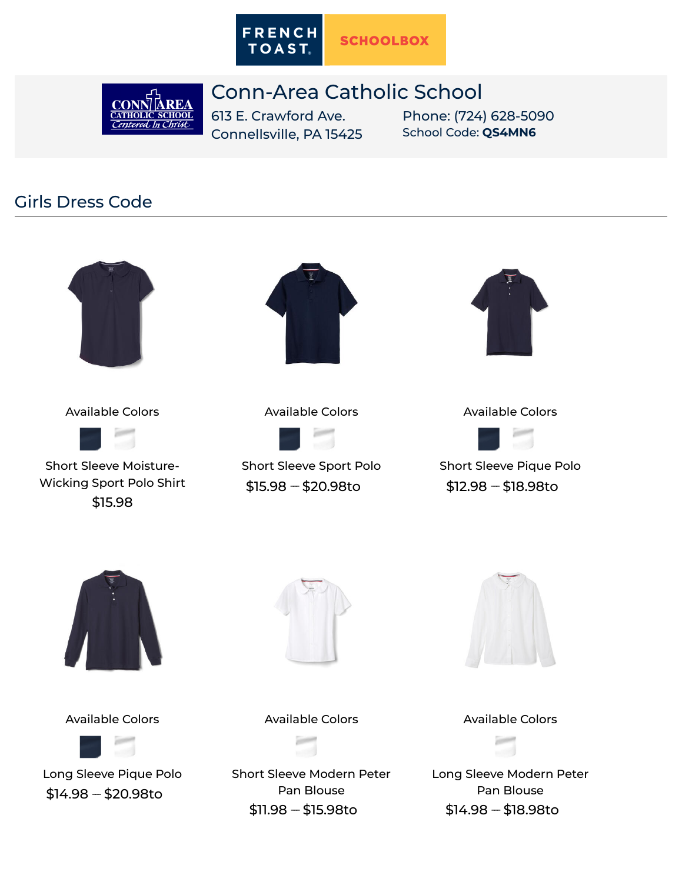

## Conn-Area Catholic School

**CONI ATHOLIC SCHOOL** Centered In Christ

613 E. Crawford Ave. Connellsville, PA 15425 Phone: (724) 628-5090 School Code: **QS4MN6**

## Girls Dress Code



Available Colors



Short Sleeve Moisture-[Wicking Sport Polo Shirt](https://www.frenchtoast.com/p/1700?dressCode=2267) \$15.98



## Available Colors



[Short Sleeve Sport Polo](https://www.frenchtoast.com/p/1629?dressCode=2267)  $$15.98 - $20.98$ to



Available Colors



[Short Sleeve Pique Polo](https://www.frenchtoast.com/p/1012?dressCode=2267)  $$12.98 - $18.98$ to



Available Colors



[Long Sleeve Pique Polo](https://www.frenchtoast.com/p/1009?dressCode=2267)  $$14.98 - $20.98$ to



Available Colors





Available Colors

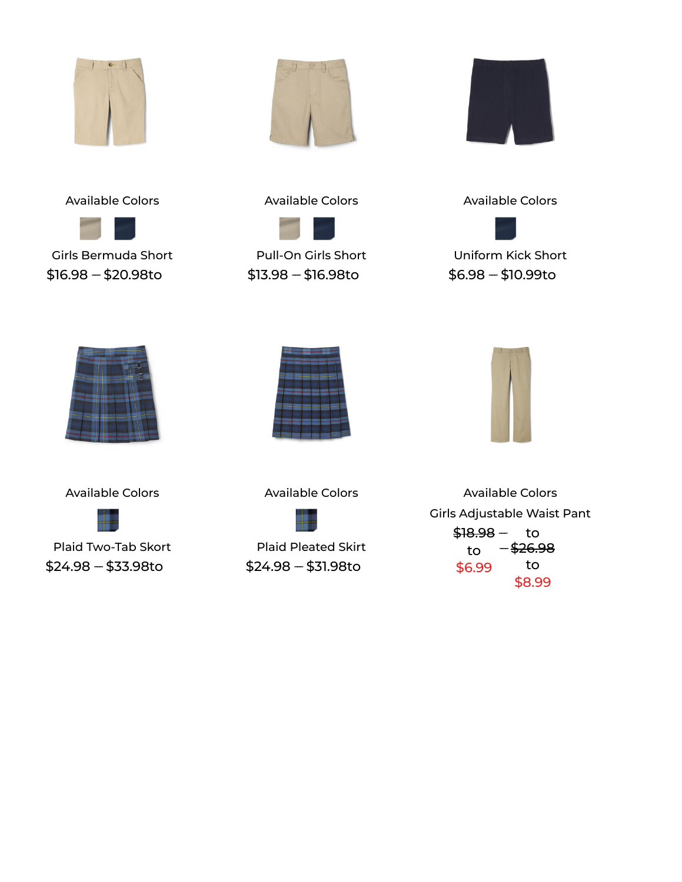







[Girls Bermuda Short](https://www.frenchtoast.com/p/1692?dressCode=2267)  $$16.98 - $20.98$ to

Available Colors



[Pull-On Girls Short](https://www.frenchtoast.com/p/1349?dressCode=2267)  $$13.98 - $16.98$ to

Available Colors



[Uniform Kick Short](https://www.frenchtoast.com/p/1597?dressCode=2267)  $$6.98 - $10.99$ to



Available Colors



[Plaid Two-Tab Skort](https://www.frenchtoast.com/p/1397?dressCode=2267)  $$24.98 - $33.98$ to



Available Colors



[Plaid Pleated Skirt](https://www.frenchtoast.com/p/1065?dressCode=2267)  $$24.98 - $31.98$ to

Available Colors [Girls Adjustable Waist Pant](https://www.frenchtoast.com/p/1315?dressCode=2267) <del>\$18.98</del> - to to \$6.99  $26.98$ to \$8.99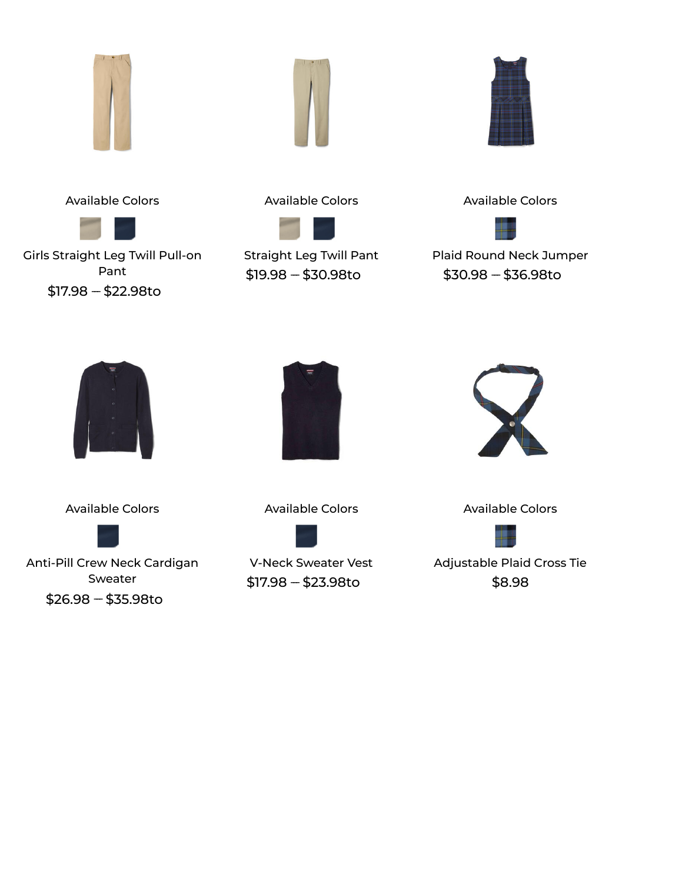





Available Colors



[Girls Straight Leg Twill Pull-on](https://www.frenchtoast.com/p/1693?dressCode=2267) Pant  $$17.98 - $22.98$ to





[Straight Leg Twill Pant](https://www.frenchtoast.com/p/1573?dressCode=2267)  $$19.98 - $30.98$ to





[Plaid Round Neck Jumper](https://www.frenchtoast.com/p/1687?dressCode=2267)  $$30.98 - $36.98$ to



Available Colors



[Anti-Pill Crew Neck Cardigan](https://www.frenchtoast.com/p/1371?dressCode=2267) Sweater  $$26.98 - $35.98$ to



Available Colors



[V-Neck Sweater Vest](https://www.frenchtoast.com/p/1029?dressCode=2267)  $$17.98 - $23.98$ to



Available Colors



[Adjustable Plaid Cross Tie](https://www.frenchtoast.com/p/10754?dressCode=2267) \$8.98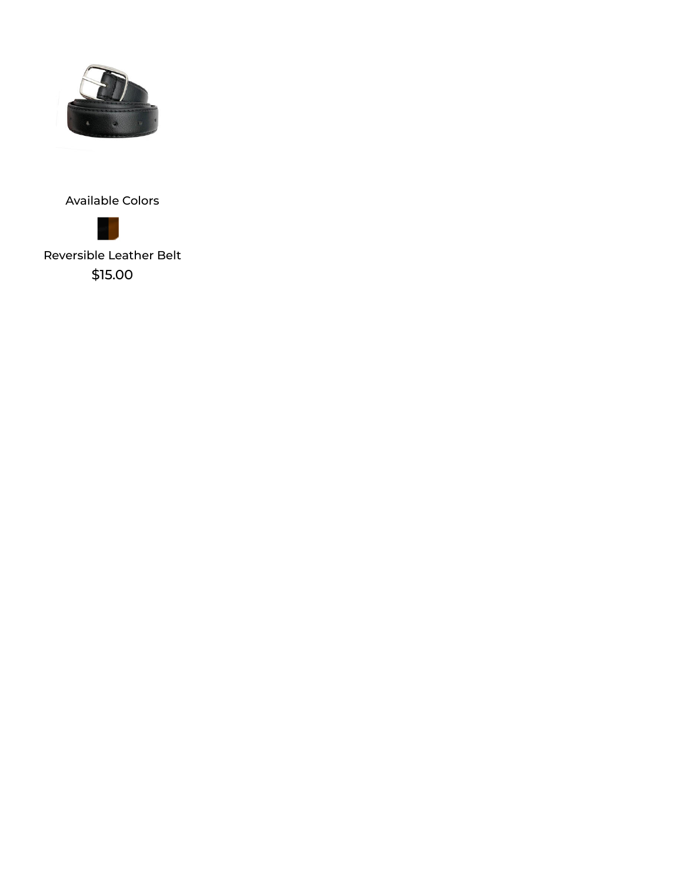



[Reversible Leather Belt](https://www.frenchtoast.com/p/2426?dressCode=2267) \$15.00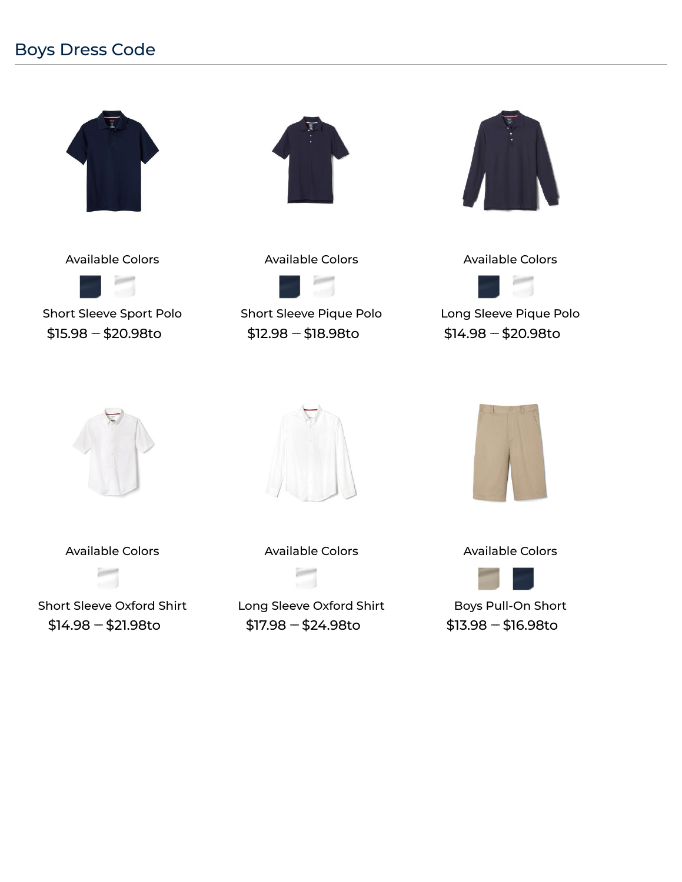## Boys Dress Code



Available Colors



[Short Sleeve Sport Polo](https://www.frenchtoast.com/p/1629?dressCode=2268)  $$15.98 - $20.98$ to



Available Colors



[Short Sleeve Pique Polo](https://www.frenchtoast.com/p/1012?dressCode=2268)  $$12.98 - $18.98$ to



Available Colors



[Long Sleeve Pique Polo](https://www.frenchtoast.com/p/1009?dressCode=2268)  $$14.98 - $20.98$ to





Available Colors



[Short Sleeve Oxford Shirt](https://www.frenchtoast.com/p/1020?dressCode=2268)  $$14.98 - $21.98$ to

Available Colors



[Long Sleeve Oxford Shirt](https://www.frenchtoast.com/p/1017?dressCode=2268)  $$17.98 - $24.98$ to



Available Colors



[Boys Pull-On Short](https://www.frenchtoast.com/p/1350?dressCode=2268)  $$13.98 - $16.98$ to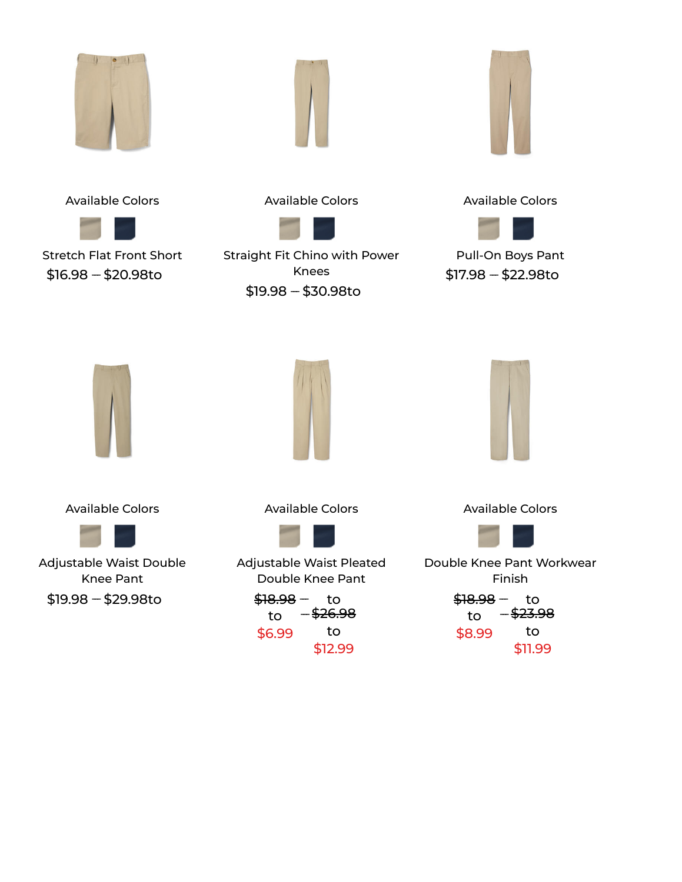







[Stretch Flat Front Short](https://www.frenchtoast.com/p/1699?dressCode=2268)  $$16.98 - $20.98$ to

Available Colors



[Straight Fit Chino with Power](https://www.frenchtoast.com/p/1694?dressCode=2268) Knees







[Pull-On Boys Pant](https://www.frenchtoast.com/p/1348?dressCode=2268)  $$17.98 - $22.98$ to



Available Colors



[Adjustable Waist Double](https://www.frenchtoast.com/p/1519?dressCode=2268) Knee Pant  $$19.98 - $29.98$ to

Available Colors



[Adjustable Waist Pleated](https://www.frenchtoast.com/p/1520?dressCode=2268) Double Knee Pant

<del>\$18.98</del> - to to \$6.99 -<del>\$26.98</del> to \$12.99



Available Colors



[Double Knee Pant Workwear](https://www.frenchtoast.com/p/1524?dressCode=2268) Finish <del>\$18.98</del> - to

to \$8.99  $23.98$ to \$11.99